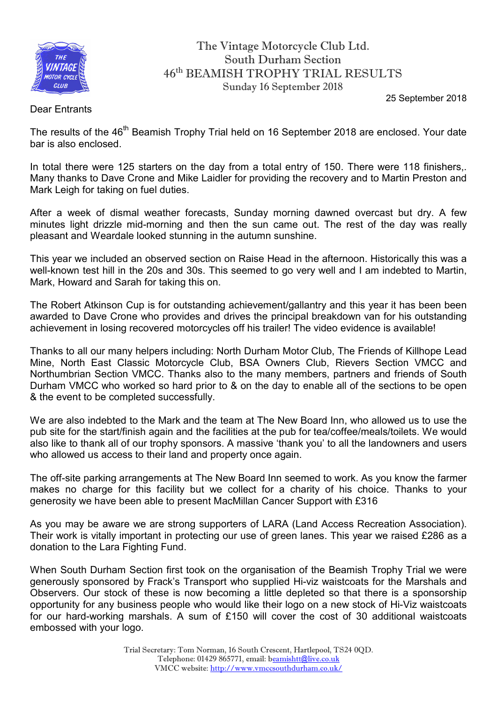

## The Vintage Motorcycle Club Ltd. South Durham Section 46th BEAMISH TROPHY TRIAL RESULTS Sunday 16 September 2018

25 September 2018

## Dear Entrants

The results of the 46<sup>th</sup> Beamish Trophy Trial held on 16 September 2018 are enclosed. Your date bar is also enclosed.

In total there were 125 starters on the day from a total entry of 150. There were 118 finishers,. Many thanks to Dave Crone and Mike Laidler for providing the recovery and to Martin Preston and Mark Leigh for taking on fuel duties.

After a week of dismal weather forecasts, Sunday morning dawned overcast but dry. A few minutes light drizzle mid-morning and then the sun came out. The rest of the day was really pleasant and Weardale looked stunning in the autumn sunshine.

This year we included an observed section on Raise Head in the afternoon. Historically this was a well-known test hill in the 20s and 30s. This seemed to go very well and I am indebted to Martin, Mark, Howard and Sarah for taking this on.

The Robert Atkinson Cup is for outstanding achievement/gallantry and this year it has been been awarded to Dave Crone who provides and drives the principal breakdown van for his outstanding achievement in losing recovered motorcycles off his trailer! The video evidence is available!

Thanks to all our many helpers including: North Durham Motor Club, The Friends of Killhope Lead Mine, North East Classic Motorcycle Club, BSA Owners Club, Rievers Section VMCC and Northumbrian Section VMCC. Thanks also to the many members, partners and friends of South Durham VMCC who worked so hard prior to & on the day to enable all of the sections to be open & the event to be completed successfully.

We are also indebted to the Mark and the team at The New Board Inn, who allowed us to use the pub site for the start/finish again and the facilities at the pub for tea/coffee/meals/toilets. We would also like to thank all of our trophy sponsors. A massive 'thank you' to all the landowners and users who allowed us access to their land and property once again.

The off-site parking arrangements at The New Board Inn seemed to work. As you know the farmer makes no charge for this facility but we collect for a charity of his choice. Thanks to your generosity we have been able to present MacMillan Cancer Support with £316

As you may be aware we are strong supporters of LARA (Land Access Recreation Association). Their work is vitally important in protecting our use of green lanes. This year we raised £286 as a donation to the Lara Fighting Fund.

When South Durham Section first took on the organisation of the Beamish Trophy Trial we were generously sponsored by Frack's Transport who supplied Hi-viz waistcoats for the Marshals and Observers. Our stock of these is now becoming a little depleted so that there is a sponsorship opportunity for any business people who would like their logo on a new stock of Hi-Viz waistcoats for our hard-working marshals. A sum of £150 will cover the cost of 30 additional waistcoats embossed with your logo.